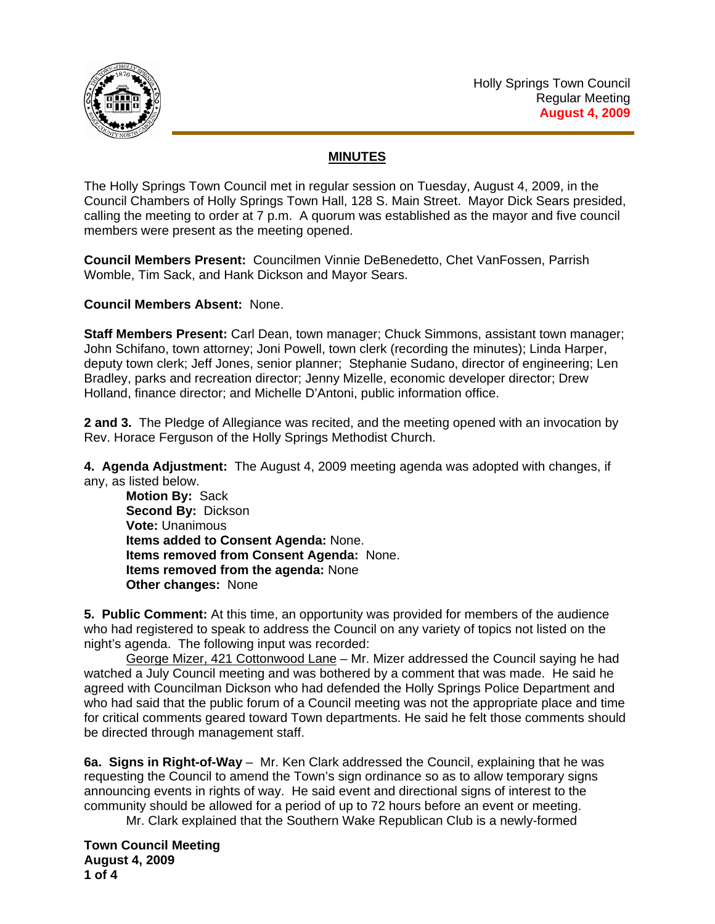

## **MINUTES**

The Holly Springs Town Council met in regular session on Tuesday, August 4, 2009, in the Council Chambers of Holly Springs Town Hall, 128 S. Main Street. Mayor Dick Sears presided, calling the meeting to order at 7 p.m. A quorum was established as the mayor and five council members were present as the meeting opened.

**Council Members Present:** Councilmen Vinnie DeBenedetto, Chet VanFossen, Parrish Womble, Tim Sack, and Hank Dickson and Mayor Sears.

**Council Members Absent:** None.

**Staff Members Present:** Carl Dean, town manager; Chuck Simmons, assistant town manager; John Schifano, town attorney; Joni Powell, town clerk (recording the minutes); Linda Harper, deputy town clerk; Jeff Jones, senior planner; Stephanie Sudano, director of engineering; Len Bradley, parks and recreation director; Jenny Mizelle, economic developer director; Drew Holland, finance director; and Michelle D'Antoni, public information office.

**2 and 3.** The Pledge of Allegiance was recited, and the meeting opened with an invocation by Rev. Horace Ferguson of the Holly Springs Methodist Church.

**4. Agenda Adjustment:** The August 4, 2009 meeting agenda was adopted with changes, if any, as listed below.

**Motion By:** Sack **Second By:** Dickson **Vote:** Unanimous  **Items added to Consent Agenda:** None.  **Items removed from Consent Agenda:** None.  **Items removed from the agenda:** None  **Other changes:** None

**5. Public Comment:** At this time, an opportunity was provided for members of the audience who had registered to speak to address the Council on any variety of topics not listed on the night's agenda. The following input was recorded:

George Mizer, 421 Cottonwood Lane - Mr. Mizer addressed the Council saying he had watched a July Council meeting and was bothered by a comment that was made. He said he agreed with Councilman Dickson who had defended the Holly Springs Police Department and who had said that the public forum of a Council meeting was not the appropriate place and time for critical comments geared toward Town departments. He said he felt those comments should be directed through management staff.

**6a. Signs in Right-of-Way** – Mr. Ken Clark addressed the Council, explaining that he was requesting the Council to amend the Town's sign ordinance so as to allow temporary signs announcing events in rights of way. He said event and directional signs of interest to the community should be allowed for a period of up to 72 hours before an event or meeting.

Mr. Clark explained that the Southern Wake Republican Club is a newly-formed

**Town Council Meeting August 4, 2009 1 of 4**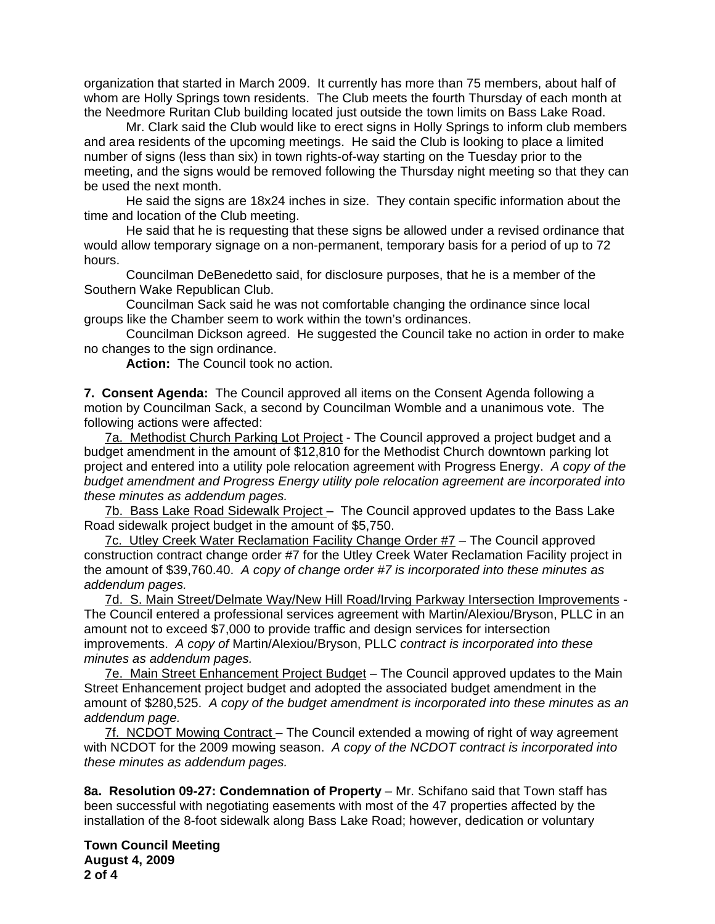organization that started in March 2009. It currently has more than 75 members, about half of whom are Holly Springs town residents. The Club meets the fourth Thursday of each month at the Needmore Ruritan Club building located just outside the town limits on Bass Lake Road.

 Mr. Clark said the Club would like to erect signs in Holly Springs to inform club members and area residents of the upcoming meetings. He said the Club is looking to place a limited number of signs (less than six) in town rights-of-way starting on the Tuesday prior to the meeting, and the signs would be removed following the Thursday night meeting so that they can be used the next month.

 He said the signs are 18x24 inches in size. They contain specific information about the time and location of the Club meeting.

He said that he is requesting that these signs be allowed under a revised ordinance that would allow temporary signage on a non-permanent, temporary basis for a period of up to 72 hours.

Councilman DeBenedetto said, for disclosure purposes, that he is a member of the Southern Wake Republican Club.

Councilman Sack said he was not comfortable changing the ordinance since local groups like the Chamber seem to work within the town's ordinances.

Councilman Dickson agreed. He suggested the Council take no action in order to make no changes to the sign ordinance.

**Action:** The Council took no action.

**7. Consent Agenda:** The Council approved all items on the Consent Agenda following a motion by Councilman Sack, a second by Councilman Womble and a unanimous vote. The following actions were affected:

7a. Methodist Church Parking Lot Project - The Council approved a project budget and a budget amendment in the amount of \$12,810 for the Methodist Church downtown parking lot project and entered into a utility pole relocation agreement with Progress Energy. *A copy of the budget amendment and Progress Energy utility pole relocation agreement are incorporated into these minutes as addendum pages.* 

7b. Bass Lake Road Sidewalk Project - The Council approved updates to the Bass Lake Road sidewalk project budget in the amount of \$5,750.

 7c. Utley Creek Water Reclamation Facility Change Order #7 – The Council approved construction contract change order #7 for the Utley Creek Water Reclamation Facility project in the amount of \$39,760.40. *A copy of change order #7 is incorporated into these minutes as addendum pages.*

7d. S. Main Street/Delmate Way/New Hill Road/Irving Parkway Intersection Improvements - The Council entered a professional services agreement with Martin/Alexiou/Bryson, PLLC in an amount not to exceed \$7,000 to provide traffic and design services for intersection improvements. *A copy of* Martin/Alexiou/Bryson, PLLC *contract is incorporated into these minutes as addendum pages.*

 7e. Main Street Enhancement Project Budget – The Council approved updates to the Main Street Enhancement project budget and adopted the associated budget amendment in the amount of \$280,525.*A copy of the budget amendment is incorporated into these minutes as an addendum page.*

 7f. NCDOT Mowing Contract – The Council extended a mowing of right of way agreement with NCDOT for the 2009 mowing season. *A copy of the NCDOT contract is incorporated into these minutes as addendum pages.*

**8a. Resolution 09-27: Condemnation of Property** – Mr. Schifano said that Town staff has been successful with negotiating easements with most of the 47 properties affected by the installation of the 8-foot sidewalk along Bass Lake Road; however, dedication or voluntary

**Town Council Meeting August 4, 2009 2 of 4**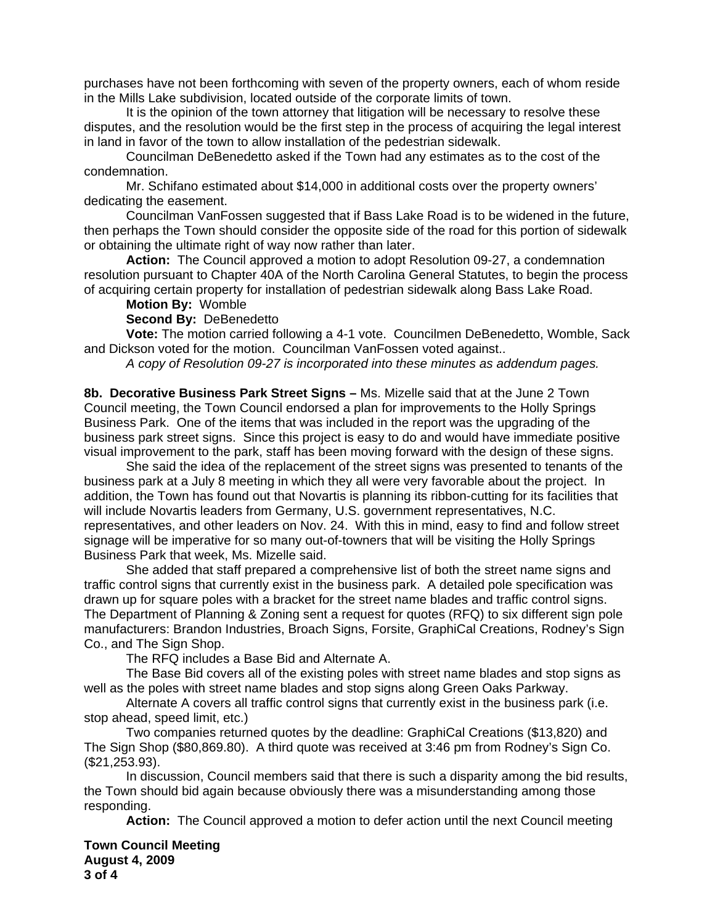purchases have not been forthcoming with seven of the property owners, each of whom reside in the Mills Lake subdivision, located outside of the corporate limits of town.

 It is the opinion of the town attorney that litigation will be necessary to resolve these disputes, and the resolution would be the first step in the process of acquiring the legal interest in land in favor of the town to allow installation of the pedestrian sidewalk.

 Councilman DeBenedetto asked if the Town had any estimates as to the cost of the condemnation.

 Mr. Schifano estimated about \$14,000 in additional costs over the property owners' dedicating the easement.

 Councilman VanFossen suggested that if Bass Lake Road is to be widened in the future, then perhaps the Town should consider the opposite side of the road for this portion of sidewalk or obtaining the ultimate right of way now rather than later.

**Action:** The Council approved a motion to adopt Resolution 09-27, a condemnation resolution pursuant to Chapter 40A of the North Carolina General Statutes, to begin the process of acquiring certain property for installation of pedestrian sidewalk along Bass Lake Road.

## **Motion By:** Womble

## **Second By:** DeBenedetto

**Vote:** The motion carried following a 4-1 vote. Councilmen DeBenedetto, Womble, Sack and Dickson voted for the motion. Councilman VanFossen voted against..

 *A copy of Resolution 09-27 is incorporated into these minutes as addendum pages.*

**8b. Decorative Business Park Street Signs –** Ms. Mizelle said that at the June 2 Town Council meeting, the Town Council endorsed a plan for improvements to the Holly Springs Business Park. One of the items that was included in the report was the upgrading of the business park street signs. Since this project is easy to do and would have immediate positive visual improvement to the park, staff has been moving forward with the design of these signs.

 She said the idea of the replacement of the street signs was presented to tenants of the business park at a July 8 meeting in which they all were very favorable about the project. In addition, the Town has found out that Novartis is planning its ribbon-cutting for its facilities that will include Novartis leaders from Germany, U.S. government representatives, N.C. representatives, and other leaders on Nov. 24. With this in mind, easy to find and follow street signage will be imperative for so many out-of-towners that will be visiting the Holly Springs Business Park that week, Ms. Mizelle said.

 She added that staff prepared a comprehensive list of both the street name signs and traffic control signs that currently exist in the business park. A detailed pole specification was drawn up for square poles with a bracket for the street name blades and traffic control signs. The Department of Planning & Zoning sent a request for quotes (RFQ) to six different sign pole manufacturers: Brandon Industries, Broach Signs, Forsite, GraphiCal Creations, Rodney's Sign Co., and The Sign Shop.

The RFQ includes a Base Bid and Alternate A.

 The Base Bid covers all of the existing poles with street name blades and stop signs as well as the poles with street name blades and stop signs along Green Oaks Parkway.

 Alternate A covers all traffic control signs that currently exist in the business park (i.e. stop ahead, speed limit, etc.)

 Two companies returned quotes by the deadline: GraphiCal Creations (\$13,820) and The Sign Shop (\$80,869.80). A third quote was received at 3:46 pm from Rodney's Sign Co. (\$21,253.93).

 In discussion, Council members said that there is such a disparity among the bid results, the Town should bid again because obviously there was a misunderstanding among those responding.

**Action:** The Council approved a motion to defer action until the next Council meeting

**Town Council Meeting August 4, 2009 3 of 4**